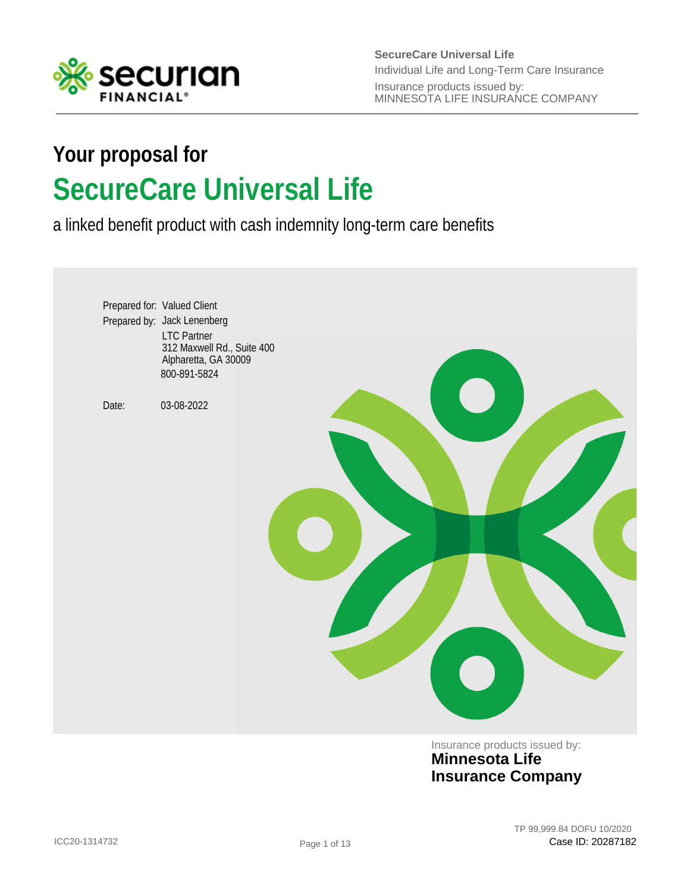

**SecureCare Universal Life** Insurance products issued by: MINNESOTA LIFE INSURANCE COMPANY Individual Life and Long-Term Care Insurance

# **SecureCare Universal Life Your proposal for**

a linked benefit product with cash indemnity long-term care benefits



Insurance products issued by: **Minnesota Life Insurance Company**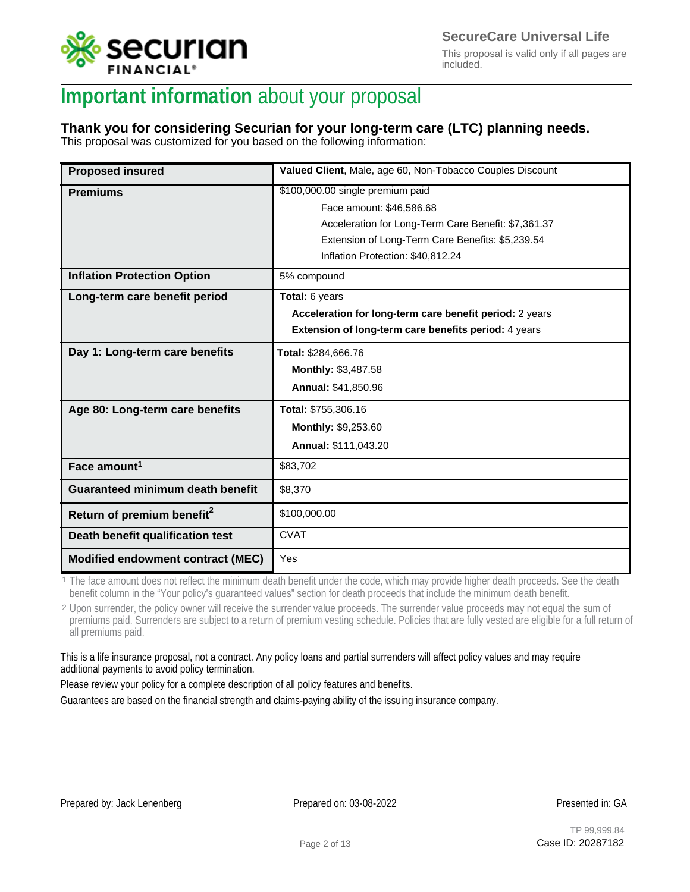

This proposal is valid only if all pages are included.

## **Important information** about your proposal

### **Thank you for considering Securian for your long-term care (LTC) planning needs.**

This proposal was customized for you based on the following information:

| <b>Proposed insured</b>                 | Valued Client, Male, age 60, Non-Tobacco Couples Discount |
|-----------------------------------------|-----------------------------------------------------------|
| <b>Premiums</b>                         | \$100,000.00 single premium paid                          |
|                                         | Face amount: \$46,586.68                                  |
|                                         | Acceleration for Long-Term Care Benefit: \$7,361.37       |
|                                         | Extension of Long-Term Care Benefits: \$5,239.54          |
|                                         | Inflation Protection: \$40,812.24                         |
| <b>Inflation Protection Option</b>      | 5% compound                                               |
| Long-term care benefit period           | Total: 6 years                                            |
|                                         | Acceleration for long-term care benefit period: 2 years   |
|                                         | Extension of long-term care benefits period: 4 years      |
| Day 1: Long-term care benefits          | Total: \$284,666.76                                       |
|                                         | Monthly: \$3,487.58                                       |
|                                         | Annual: \$41,850.96                                       |
| Age 80: Long-term care benefits         | Total: \$755,306.16                                       |
|                                         | Monthly: \$9,253.60                                       |
|                                         | Annual: \$111,043.20                                      |
| Face amount <sup>1</sup>                | \$83,702                                                  |
| <b>Guaranteed minimum death benefit</b> | \$8,370                                                   |
| Return of premium benefit <sup>2</sup>  | \$100,000.00                                              |
| Death benefit qualification test        | <b>CVAT</b>                                               |
| Modified endowment contract (MEC)       | Yes                                                       |

<sup>1</sup> The face amount does not reflect the minimum death benefit under the code, which may provide higher death proceeds. See the death benefit column in the "Your policy's guaranteed values" section for death proceeds that include the minimum death benefit.

<sup>2</sup> Upon surrender, the policy owner will receive the surrender value proceeds. The surrender value proceeds may not equal the sum of premiums paid. Surrenders are subject to a return of premium vesting schedule. Policies that are fully vested are eligible for a full return of all premiums paid.

This is a life insurance proposal, not a contract. Any policy loans and partial surrenders will affect policy values and may require additional payments to avoid policy termination.

Please review your policy for a complete description of all policy features and benefits.

Guarantees are based on the financial strength and claims-paying ability of the issuing insurance company.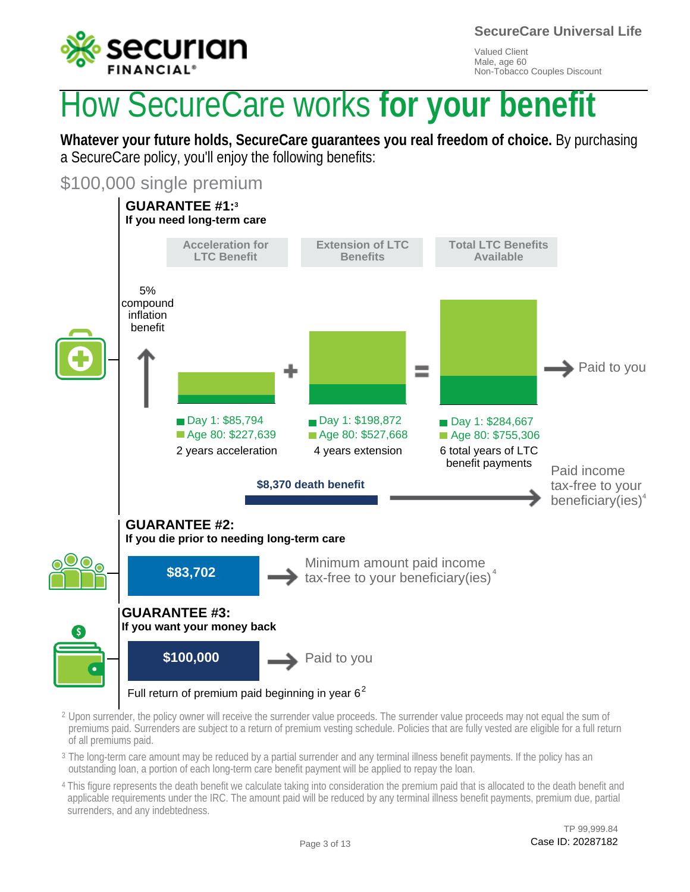

**SecureCare Universal Life**

Valued Client Male, age 60 Non-Tobacco Couples Discount

# How SecureCare works **for your benefit**

**Whatever your future holds, SecureCare guarantees you real freedom of choice.** By purchasing a SecureCare policy, you'll enjoy the following benefits:

\$100,000 single premium



- $^2$  Upon surrender, the policy owner will receive the surrender value proceeds. The surrender value proceeds may not equal the sum of premiums paid. Surrenders are subject to a return of premium vesting schedule. Policies that are fully vested are eligible for a full return of all premiums paid.
- $^{\rm 3}$  The long-term care amount may be reduced by a partial surrender and any terminal illness benefit payments. If the policy has an outstanding loan, a portion of each long-term care benefit payment will be applied to repay the loan.
- <sup>4</sup> This figure represents the death benefit we calculate taking into consideration the premium paid that is allocated to the death benefit and applicable requirements under the IRC. The amount paid will be reduced by any terminal illness benefit payments, premium due, partial surrenders, and any indebtedness.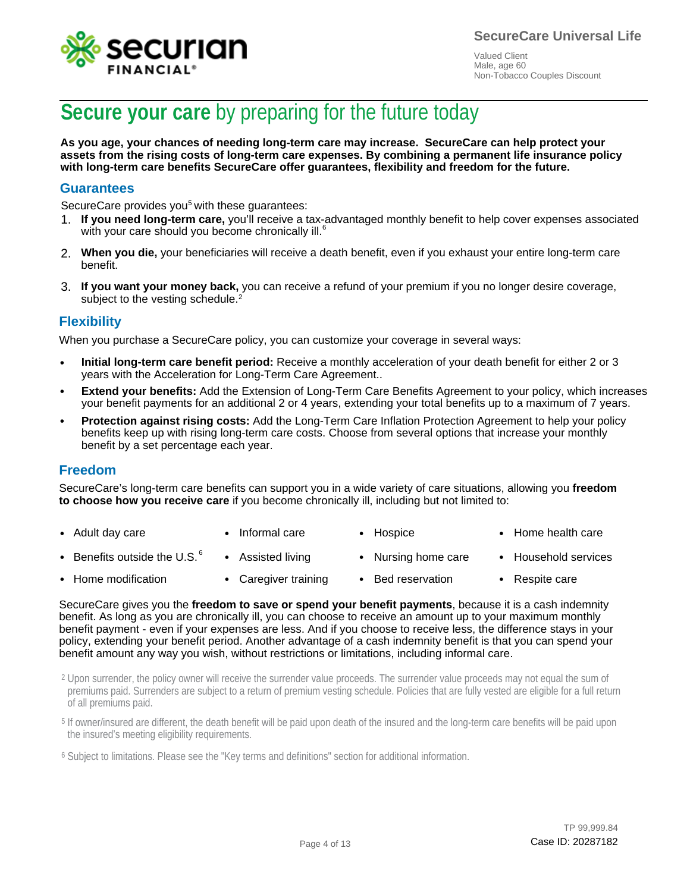![](_page_3_Picture_0.jpeg)

![](_page_3_Picture_1.jpeg)

## **Secure your care** by preparing for the future today

**As you age, your chances of needing long-term care may increase. SecureCare can help protect your assets from the rising costs of long-term care expenses. By combining a permanent life insurance policy with long-term care benefits SecureCare offer guarantees, flexibility and freedom for the future.**

#### **Guarantees**

SecureCare provides you<sup>5</sup> with these guarantees:

- 1. If you need long-term care, you'll receive a tax-advantaged monthly benefit to help cover expenses associated with you heed long term care, you heeling is the with your care should you become chronically ill.<sup>6</sup>
- **When you die,** your beneficiaries will receive a death benefit, even if you exhaust your entire long-term care 2. benefit.
- 3. If you want your money back, you can receive a refund of your premium if you no longer desire coverage, subject to the vesting schedule.<sup>2</sup>

### **Flexibility**

When you purchase a SecureCare policy, you can customize your coverage in several ways:

- **Initial long-term care benefit period:** Receive a monthly acceleration of your death benefit for either 2 or 3 years with the Acceleration for Long-Term Care Agreement.. •
- **Extend your benefits:** Add the Extension of Long-Term Care Benefits Agreement to your policy, which increases your benefit payments for an additional 2 or 4 years, extending your total benefits up to a maximum of 7 years.
- **Protection against rising costs:** Add the Long-Term Care Inflation Protection Agreement to help your policy benefits keep up with rising long-term care costs. Choose from several options that increase your monthly benefit by a set percentage each year.

#### **Freedom**

SecureCare's long-term care benefits can support you in a wide variety of care situations, allowing you **freedom to choose how you receive care** if you become chronically ill, including but not limited to:

- Adult day care • Informal care • Hospice • Home health care
- Benefits outside the U.S.  $^6$ • • Assisted living • Nursing home care • Household services
- Home modification • • Caregiver training • Bed reservation • Respite care

SecureCare gives you the **freedom to save or spend your benefit payments**, because it is a cash indemnity benefit. As long as you are chronically ill, you can choose to receive an amount up to your maximum monthly benefit payment - even if your expenses are less. And if you choose to receive less, the difference stays in your policy, extending your benefit period. Another advantage of a cash indemnity benefit is that you can spend your benefit amount any way you wish, without restrictions or limitations, including informal care.

 $^2$  Upon surrender, the policy owner will receive the surrender value proceeds. The surrender value proceeds may not equal the sum of premiums paid. Surrenders are subject to a return of premium vesting schedule. Policies that are fully vested are eligible for a full return of all premiums paid.

<sup>5</sup> If owner/insured are different, the death benefit will be paid upon death of the insured and the long-term care benefits will be paid upon the insured's meeting eligibility requirements.

<sup>6</sup> Subject to limitations. Please see the "Key terms and definitions" section for additional information.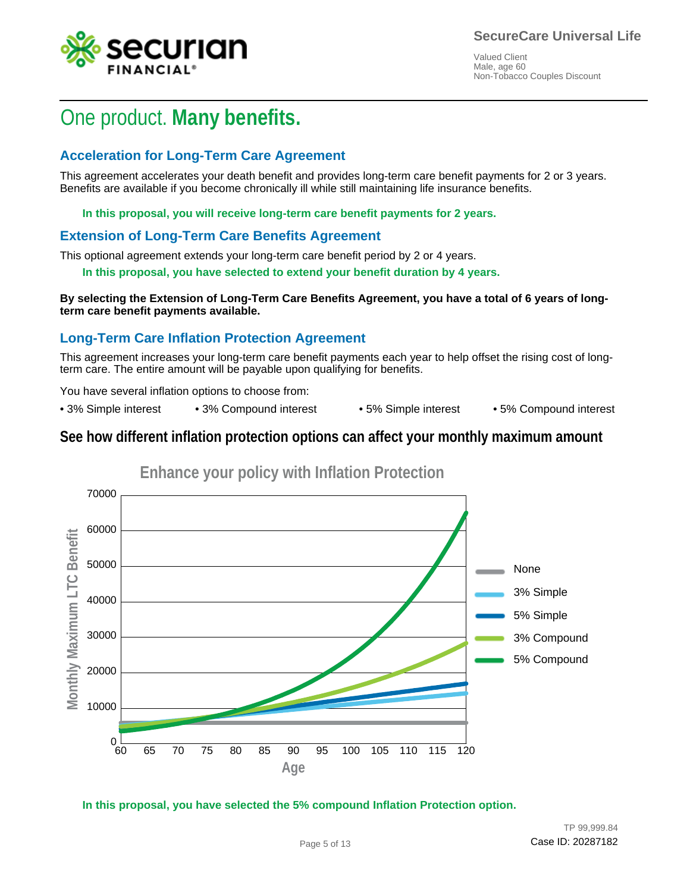![](_page_4_Picture_1.jpeg)

## One product. **Many benefits.**

### **Acceleration for Long-Term Care Agreement**

This agreement accelerates your death benefit and provides long-term care benefit payments for 2 or 3 years. Benefits are available if you become chronically ill while still maintaining life insurance benefits.

**In this proposal, you will receive long-term care benefit payments for 2 years.**

### **Extension of Long-Term Care Benefits Agreement**

This optional agreement extends your long-term care benefit period by 2 or 4 years.

**In this proposal, you have selected to extend your benefit duration by 4 years.**

**By selecting the Extension of Long-Term Care Benefits Agreement, you have a total of 6 years of longterm care benefit payments available.**

### **Long-Term Care Inflation Protection Agreement**

This agreement increases your long-term care benefit payments each year to help offset the rising cost of longterm care. The entire amount will be payable upon qualifying for benefits.

You have several inflation options to choose from:

• 3% Simple interest • 3% Compound interest • 5% Simple interest • 5% Compound interest

### **See how different inflation protection options can affect your monthly maximum amount**

![](_page_4_Figure_16.jpeg)

**In this proposal, you have selected the 5% compound Inflation Protection option.**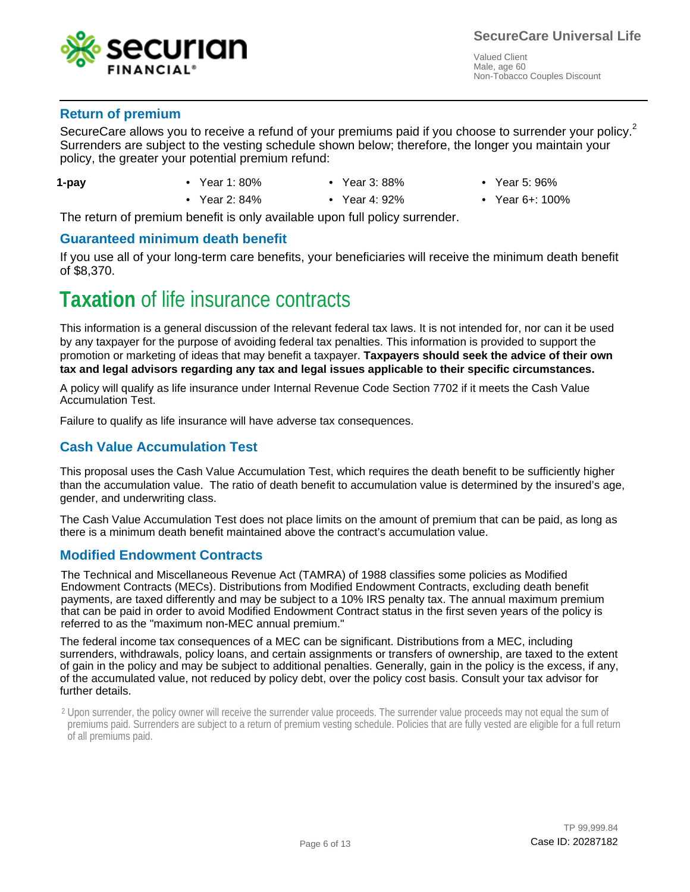![](_page_5_Picture_0.jpeg)

### **Return of premium**

SecureCare allows you to receive a refund of your premiums paid if you choose to surrender your policy.<sup>2</sup> Surrenders are subject to the vesting schedule shown below; therefore, the longer you maintain your Surrenders are subject to the vesting schedule shown below; therefore, the longer you maintain your policy, the greater your potential premium refund: policy, the greater your potential premium refund:

- **1-pay**
- Year 1: 80%
- - Year 3: 88%
- Year 5: 96%
- Year 2: 84% Year 4: 92% Year 6+: 100%
	- Year 4: 92%
- 

The return of premium benefit is only available upon full policy surrender.

#### **Guaranteed minimum death benefit**

If you use all of your long-term care benefits, your beneficiaries will receive the minimum death benefit of \$8,370.

## **Taxation** of life insurance contracts

This information is a general discussion of the relevant federal tax laws. It is not intended for, nor can it be used by any taxpayer for the purpose of avoiding federal tax penalties. This information is provided to support the promotion or marketing of ideas that may benefit a taxpayer. **Taxpayers should seek the advice of their own tax and legal advisors regarding any tax and legal issues applicable to their specific circumstances.**

A policy will qualify as life insurance under Internal Revenue Code Section 7702 if it meets the Cash Value Accumulation Test.

Failure to qualify as life insurance will have adverse tax consequences.

### **Cash Value Accumulation Test**

This proposal uses the Cash Value Accumulation Test, which requires the death benefit to be sufficiently higher than the accumulation value. The ratio of death benefit to accumulation value is determined by the insured's age, gender, and underwriting class.

The Cash Value Accumulation Test does not place limits on the amount of premium that can be paid, as long as there is a minimum death benefit maintained above the contract's accumulation value.

### **Modified Endowment Contracts**

The Technical and Miscellaneous Revenue Act (TAMRA) of 1988 classifies some policies as Modified Endowment Contracts (MECs). Distributions from Modified Endowment Contracts, excluding death benefit payments, are taxed differently and may be subject to a 10% IRS penalty tax. The annual maximum premium that can be paid in order to avoid Modified Endowment Contract status in the first seven years of the policy is referred to as the "maximum non-MEC annual premium."

The federal income tax consequences of a MEC can be significant. Distributions from a MEC, including surrenders, withdrawals, policy loans, and certain assignments or transfers of ownership, are taxed to the extent of gain in the policy and may be subject to additional penalties. Generally, gain in the policy is the excess, if any, of the accumulated value, not reduced by policy debt, over the policy cost basis. Consult your tax advisor for further details.

 $2$  Upon surrender, the policy owner will receive the surrender value proceeds. The surrender value proceeds may not equal the sum of premiums paid. Surrenders are subject to a return of premium vesting schedule. Policies that are fully vested are eligible for a full return of all premiums paid.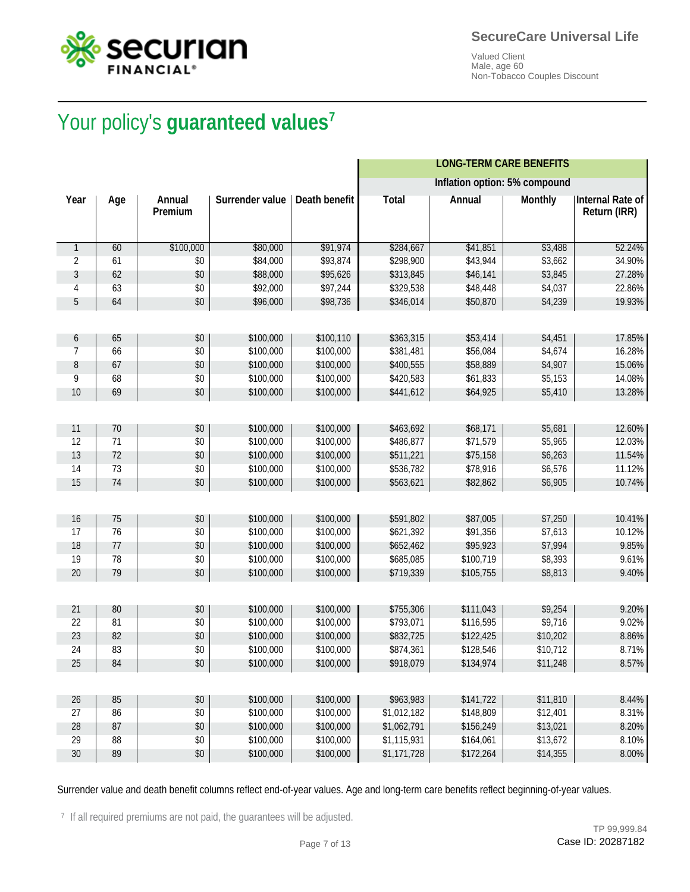![](_page_6_Picture_0.jpeg)

![](_page_6_Picture_1.jpeg)

# Your policy's **guaranteed values<sup>7</sup>** Your policy's **guaranteed values**

|              |     |                   |                        |               |              | <b>LONG-TERM CARE BENEFITS</b> |                |                                         |
|--------------|-----|-------------------|------------------------|---------------|--------------|--------------------------------|----------------|-----------------------------------------|
|              |     |                   |                        |               |              | Inflation option: 5% compound  |                |                                         |
| Year         | Age | Annual<br>Premium | <b>Surrender value</b> | Death benefit | <b>Total</b> | <b>Annual</b>                  | <b>Monthly</b> | <b>Internal Rate of</b><br>Return (IRR) |
| $\mathbf{1}$ | 60  | \$100,000         | \$80,000               | \$91,974      | \$284,667    | \$41,851                       | \$3,488        | 52.24%                                  |
| 2            | 61  | \$0               | \$84,000               | \$93,874      | \$298,900    | \$43,944                       | \$3,662        | 34.90%                                  |
| 3            | 62  | \$0               | \$88,000               | \$95,626      | \$313,845    | \$46,141                       | \$3,845        | 27.28%                                  |
| 4            | 63  | \$0               | \$92,000               | \$97,244      | \$329,538    | \$48,448                       | \$4,037        | 22.86%                                  |
| 5            | 64  | \$0               | \$96,000               | \$98,736      | \$346,014    | \$50,870                       | \$4,239        | 19.93%                                  |
|              |     |                   |                        |               |              |                                |                |                                         |
| 6            | 65  | \$0               | \$100,000              | \$100,110     | \$363,315    | \$53,414                       | \$4,451        | 17.85%                                  |
| 7            | 66  | \$0               | \$100,000              | \$100,000     | \$381,481    | \$56,084                       | \$4,674        | 16.28%                                  |
| 8            | 67  | \$0               | \$100,000              | \$100,000     | \$400,555    | \$58,889                       | \$4,907        | 15.06%                                  |
| 9            | 68  | \$0               | \$100,000              | \$100,000     | \$420,583    | \$61,833                       | \$5,153        | 14.08%                                  |
| 10           | 69  | \$0               | \$100,000              | \$100,000     | \$441,612    | \$64,925                       | \$5,410        | 13.28%                                  |
|              |     |                   |                        |               |              |                                |                |                                         |
| 11           | 70  | \$0               | \$100,000              | \$100,000     | \$463,692    | \$68,171                       | \$5,681        | 12.60%                                  |
| 12           | 71  | \$0               | \$100,000              | \$100,000     | \$486,877    | \$71,579                       | \$5,965        | 12.03%                                  |
| 13           | 72  | \$0               | \$100,000              | \$100,000     | \$511,221    | \$75,158                       | \$6,263        | 11.54%                                  |
| 14           | 73  | \$0               | \$100,000              | \$100,000     | \$536,782    | \$78,916                       | \$6,576        | 11.12%                                  |
| 15           | 74  | \$0               | \$100,000              | \$100,000     | \$563,621    | \$82,862                       | \$6,905        | 10.74%                                  |
|              |     |                   |                        |               |              |                                |                |                                         |
| 16           | 75  | \$0               | \$100,000              | \$100,000     | \$591,802    | \$87,005                       | \$7,250        | 10.41%                                  |
| 17           | 76  | \$0               | \$100,000              | \$100,000     | \$621,392    | \$91,356                       | \$7,613        | 10.12%                                  |
| 18           | 77  | \$0               | \$100,000              | \$100,000     | \$652,462    | \$95,923                       | \$7,994        | 9.85%                                   |
| 19           | 78  | \$0               | \$100,000              | \$100,000     | \$685,085    | \$100,719                      | \$8,393        | 9.61%                                   |
| 20           | 79  | \$0               | \$100,000              | \$100,000     | \$719,339    | \$105,755                      | \$8,813        | 9.40%                                   |
|              |     |                   |                        |               |              |                                |                |                                         |
| 21           | 80  | \$0               | \$100,000              | \$100,000     | \$755,306    | \$111,043                      | \$9,254        | 9.20%                                   |
| 22           | 81  | \$0               | \$100,000              | \$100,000     | \$793,071    | \$116,595                      | \$9,716        | 9.02%                                   |
| 23           | 82  | \$0               | \$100,000              | \$100,000     | \$832,725    | \$122,425                      | \$10,202       | 8.86%                                   |
| 24           | 83  | \$0               | \$100,000              | \$100,000     | \$874,361    | \$128,546                      | \$10,712       | 8.71%                                   |
| 25           | 84  | $\$0$             | \$100,000              | \$100,000     | \$918,079    | \$134,974                      | \$11,248       | 8.57%                                   |
|              |     |                   |                        |               |              |                                |                |                                         |
| 26           | 85  | \$0               | \$100,000              | \$100,000     | \$963,983    | \$141,722                      | \$11,810       | 8.44%                                   |
| 27           | 86  | \$0               | \$100,000              | \$100,000     | \$1,012,182  | \$148,809                      | \$12,401       | 8.31%                                   |
| 28           | 87  | \$0               | \$100,000              | \$100,000     | \$1,062,791  | \$156,249                      | \$13,021       | 8.20%                                   |
| 29           | 88  | \$0               | \$100,000              | \$100,000     | \$1,115,931  | \$164,061                      | \$13,672       | 8.10%                                   |
| $30\,$       | 89  | \$0               | \$100,000              | \$100,000     | \$1,171,728  | \$172,264                      | \$14,355       | 8.00%                                   |

Surrender value and death benefit columns reflect end-of-year values. Age and long-term care benefits reflect beginning-of-year values.

<sup>7</sup> If all required premiums are not paid, the guarantees will be adjusted.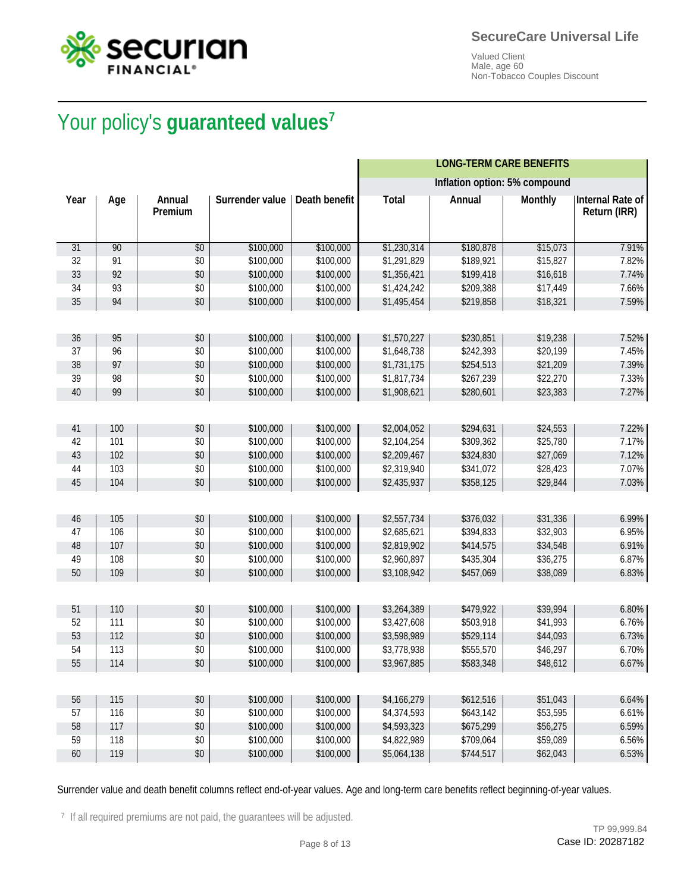![](_page_7_Picture_0.jpeg)

![](_page_7_Picture_1.jpeg)

# Your policy's **guaranteed values<sup>7</sup>** Your policy's **guaranteed values**

|      |     |                          |                        |                      |              | <b>LONG-TERM CARE BENEFITS</b> |                |                                         |
|------|-----|--------------------------|------------------------|----------------------|--------------|--------------------------------|----------------|-----------------------------------------|
|      |     |                          |                        |                      |              | Inflation option: 5% compound  |                |                                         |
| Year | Age | <b>Annual</b><br>Premium | <b>Surrender value</b> | <b>Death benefit</b> | <b>Total</b> | <b>Annual</b>                  | <b>Monthly</b> | <b>Internal Rate of</b><br>Return (IRR) |
| 31   | 90  | \$0                      | \$100,000              | \$100,000            | \$1,230,314  | \$180,878                      | \$15,073       | 7.91%                                   |
| 32   | 91  | \$0                      | \$100,000              | \$100,000            | \$1,291,829  | \$189,921                      | \$15,827       | 7.82%                                   |
| 33   | 92  | \$0                      | \$100,000              | \$100,000            | \$1,356,421  | \$199,418                      | \$16,618       | 7.74%                                   |
| 34   | 93  | \$0                      | \$100,000              | \$100,000            | \$1,424,242  | \$209,388                      | \$17,449       | 7.66%                                   |
| 35   | 94  | \$0                      | \$100,000              | \$100,000            | \$1,495,454  | \$219,858                      | \$18,321       | 7.59%                                   |
|      |     |                          |                        |                      |              |                                |                |                                         |
| 36   | 95  | \$0                      | \$100,000              | \$100,000            | \$1,570,227  | \$230,851                      | \$19,238       | 7.52%                                   |
| 37   | 96  | \$0                      | \$100,000              | \$100,000            | \$1,648,738  | \$242,393                      | \$20,199       | 7.45%                                   |
| 38   | 97  | \$0                      | \$100,000              | \$100,000            | \$1,731,175  | \$254,513                      | \$21,209       | 7.39%                                   |
| 39   | 98  | \$0                      | \$100,000              | \$100,000            | \$1,817,734  | \$267,239                      | \$22,270       | 7.33%                                   |
| 40   | 99  | \$0                      | \$100,000              | \$100,000            | \$1,908,621  | \$280,601                      | \$23,383       | 7.27%                                   |
|      |     |                          |                        |                      |              |                                |                |                                         |
| 41   | 100 | \$0                      | \$100,000              | \$100,000            | \$2,004,052  | \$294,631                      | \$24,553       | 7.22%                                   |
| 42   | 101 | \$0                      | \$100,000              | \$100,000            | \$2,104,254  | \$309,362                      | \$25,780       | 7.17%                                   |
| 43   | 102 | \$0                      | \$100,000              | \$100,000            | \$2,209,467  | \$324,830                      | \$27,069       | 7.12%                                   |
| 44   | 103 | \$0                      | \$100,000              | \$100,000            | \$2,319,940  | \$341,072                      | \$28,423       | 7.07%                                   |
| 45   | 104 | \$0                      | \$100,000              | \$100,000            | \$2,435,937  | \$358,125                      | \$29,844       | 7.03%                                   |
|      |     |                          |                        |                      |              |                                |                |                                         |
| 46   | 105 | \$0                      | \$100,000              | \$100,000            | \$2,557,734  | \$376,032                      | \$31,336       | 6.99%                                   |
| 47   | 106 | \$0                      | \$100,000              | \$100,000            | \$2,685,621  | \$394,833                      | \$32,903       | 6.95%                                   |
| 48   | 107 | \$0                      | \$100,000              | \$100,000            | \$2,819,902  | \$414,575                      | \$34,548       | 6.91%                                   |
| 49   | 108 | \$0                      | \$100,000              | \$100,000            | \$2,960,897  | \$435,304                      | \$36,275       | 6.87%                                   |
| 50   | 109 | \$0                      | \$100,000              | \$100,000            | \$3,108,942  | \$457,069                      | \$38,089       | 6.83%                                   |
|      |     |                          |                        |                      |              |                                |                |                                         |
| 51   | 110 | \$0                      | \$100,000              | \$100,000            | \$3,264,389  | \$479,922                      | \$39,994       | 6.80%                                   |
| 52   | 111 | \$0                      | \$100,000              | \$100,000            | \$3,427,608  | \$503,918                      | \$41,993       | 6.76%                                   |
| 53   | 112 | \$0                      | \$100,000              | \$100,000            | \$3,598,989  | \$529,114                      | \$44,093       | 6.73%                                   |
| 54   | 113 | \$0                      | \$100,000              | \$100,000            | \$3,778,938  | \$555,570                      | \$46,297       | 6.70%                                   |
| 55   | 114 | $$0$                     | \$100,000              | \$100,000            | \$3,967,885  | \$583,348                      | \$48,612       | 6.67%                                   |
|      |     |                          |                        |                      |              |                                |                |                                         |
| 56   | 115 | \$0                      | \$100,000              | \$100,000            | \$4,166,279  | \$612,516                      | \$51,043       | 6.64%                                   |
| 57   | 116 | \$0                      | \$100,000              | \$100,000            | \$4,374,593  | \$643,142                      | \$53,595       | 6.61%                                   |
| 58   | 117 | \$0                      | \$100,000              | \$100,000            | \$4,593,323  | \$675,299                      | \$56,275       | 6.59%                                   |
| 59   | 118 | \$0                      | \$100,000              | \$100,000            | \$4,822,989  | \$709,064                      | \$59,089       | 6.56%                                   |
| 60   | 119 | \$0                      | \$100,000              | \$100,000            | \$5,064,138  | \$744,517                      | \$62,043       | 6.53%                                   |

Surrender value and death benefit columns reflect end-of-year values. Age and long-term care benefits reflect beginning-of-year values.

<sup>7</sup> If all required premiums are not paid, the guarantees will be adjusted.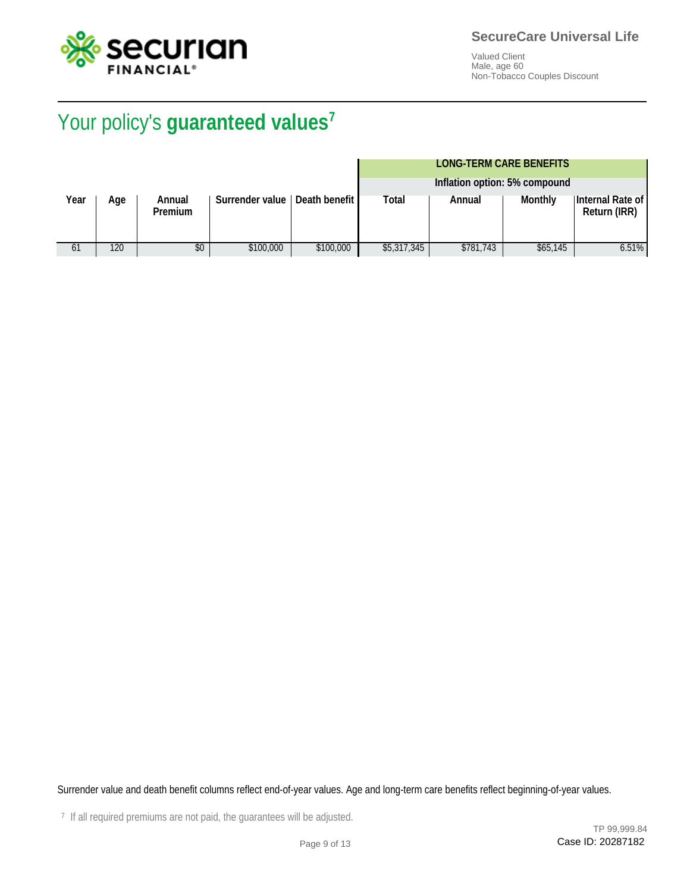![](_page_8_Picture_0.jpeg)

# Your policy's **guaranteed values<sup>7</sup>** Your policy's **guaranteed values**

### **LONG-TERM CARE BENEFITS**

|      |     |                          |                        |                 |             | Inflation option: 5% compound |          |                                         |
|------|-----|--------------------------|------------------------|-----------------|-------------|-------------------------------|----------|-----------------------------------------|
| Year | Age | Annual<br><b>Premium</b> | <b>Surrender value</b> | Death benefit I | Total       | Annual                        | Monthly  | Internal Rate of<br><b>Return (IRR)</b> |
| 61   | 120 | \$0                      | \$100,000              | \$100,000       | \$5,317,345 | \$781.743                     | \$65,145 | 6.51%                                   |

Surrender value and death benefit columns reflect end-of-year values. Age and long-term care benefits reflect beginning-of-year values.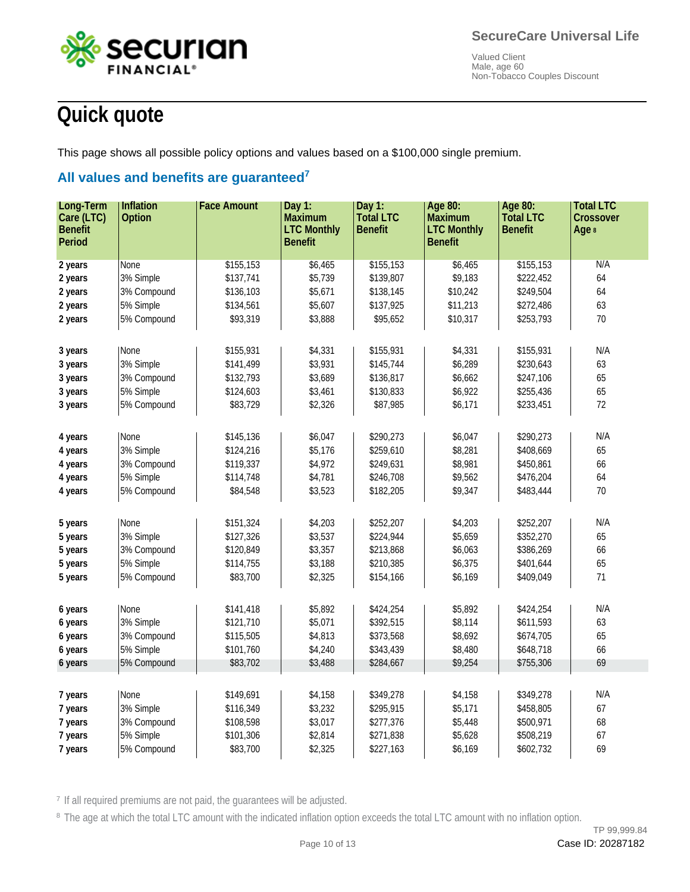![](_page_9_Picture_1.jpeg)

## **Quick quote**

This page shows all possible policy options and values based on a \$100,000 single premium.

### **All values and benefits are guaranteed<sup>7</sup> All values and benefits are guaranteed**

| Long-Term      | Inflation     | <b>Face Amount</b> | Day $1:$           | Day 1:           | Age 80:            | Age 80:          | <b>Total LTC</b> |
|----------------|---------------|--------------------|--------------------|------------------|--------------------|------------------|------------------|
| Care (LTC)     | <b>Option</b> |                    | <b>Maximum</b>     | <b>Total LTC</b> | <b>Maximum</b>     | <b>Total LTC</b> | <b>Crossover</b> |
| <b>Benefit</b> |               |                    | <b>LTC Monthly</b> | <b>Benefit</b>   | <b>LTC Monthly</b> | <b>Benefit</b>   | Age 8            |
| <b>Period</b>  |               |                    | <b>Benefit</b>     |                  | <b>Benefit</b>     |                  |                  |
|                |               |                    |                    |                  |                    |                  |                  |
| 2 years        | None          | \$155,153          | \$6,465            | \$155,153        | \$6,465            | \$155,153        | N/A              |
| 2 years        | 3% Simple     | \$137,741          | \$5,739            | \$139,807        | \$9,183            | \$222,452        | 64               |
| 2 years        | 3% Compound   | \$136,103          | \$5,671            | \$138,145        | \$10,242           | \$249,504        | 64               |
| 2 years        | 5% Simple     | \$134,561          | \$5,607            | \$137,925        | \$11,213           | \$272,486        | 63               |
| 2 years        | 5% Compound   | \$93,319           | \$3,888            | \$95,652         | \$10,317           | \$253,793        | 70               |
|                |               |                    |                    |                  |                    |                  |                  |
| 3 years        | None          | \$155,931          | \$4,331            | \$155,931        | \$4,331            | \$155,931        | N/A              |
| 3 years        | 3% Simple     | \$141,499          | \$3,931            | \$145,744        | \$6,289            | \$230,643        | 63               |
| 3 years        | 3% Compound   | \$132,793          | \$3,689            | \$136,817        | \$6,662            | \$247,106        | 65               |
| 3 years        | 5% Simple     | \$124,603          | \$3,461            | \$130,833        | \$6,922            | \$255,436        | 65               |
| 3 years        | 5% Compound   | \$83,729           | \$2,326            | \$87,985         | \$6,171            | \$233,451        | 72               |
|                |               |                    |                    |                  |                    |                  |                  |
|                | None          | \$145,136          | \$6,047            | \$290,273        | \$6,047            | \$290,273        | N/A              |
| 4 years        |               |                    |                    |                  |                    |                  |                  |
| 4 years        | 3% Simple     | \$124,216          | \$5,176            | \$259,610        | \$8,281            | \$408,669        | 65               |
| 4 years        | 3% Compound   | \$119,337          | \$4,972            | \$249,631        | \$8,981            | \$450,861        | 66               |
| 4 years        | 5% Simple     | \$114,748          | \$4,781            | \$246,708        | \$9,562            | \$476,204        | 64               |
| 4 years        | 5% Compound   | \$84,548           | \$3,523            | \$182,205        | \$9,347            | \$483,444        | 70               |
|                |               |                    |                    |                  |                    |                  |                  |
| 5 years        | None          | \$151,324          | \$4,203            | \$252,207        | \$4,203            | \$252,207        | N/A              |
| 5 years        | 3% Simple     | \$127,326          | \$3,537            | \$224,944        | \$5,659            | \$352,270        | 65               |
| 5 years        | 3% Compound   | \$120,849          | \$3,357            | \$213,868        | \$6,063            | \$386,269        | 66               |
| 5 years        | 5% Simple     | \$114,755          | \$3,188            | \$210,385        | \$6,375            | \$401,644        | 65               |
| 5 years        | 5% Compound   | \$83,700           | \$2,325            | \$154,166        | \$6,169            | \$409,049        | 71               |
|                |               |                    |                    |                  |                    |                  |                  |
| 6 years        | None          | \$141,418          | \$5,892            | \$424,254        | \$5,892            | \$424,254        | N/A              |
| 6 years        | 3% Simple     | \$121,710          | \$5,071            | \$392,515        | \$8,114            | \$611,593        | 63               |
| 6 years        | 3% Compound   | \$115,505          | \$4,813            | \$373,568        | \$8,692            | \$674,705        | 65               |
| 6 years        | 5% Simple     | \$101,760          | \$4,240            | \$343,439        | \$8,480            | \$648,718        | 66               |
| 6 years        | 5% Compound   | \$83,702           | \$3,488            | \$284,667        | \$9,254            | \$755,306        | 69               |
|                |               |                    |                    |                  |                    |                  |                  |
|                |               |                    |                    |                  |                    |                  |                  |
| 7 years        | None          | \$149,691          | \$4,158            | \$349,278        | \$4,158            | \$349,278        | N/A              |
| 7 years        | 3% Simple     | \$116,349          | \$3,232            | \$295,915        | \$5,171            | \$458,805        | 67               |
| 7 years        | 3% Compound   | \$108,598          | \$3,017            | \$277,376        | \$5,448            | \$500,971        | 68               |
| 7 years        | 5% Simple     | \$101,306          | \$2,814            | \$271,838        | \$5,628            | \$508,219        | 67               |
| 7 years        | 5% Compound   | \$83,700           | \$2,325            | \$227,163        | \$6,169            | \$602,732        | 69               |

<sup>7</sup> If all required premiums are not paid, the guarantees will be adjusted.

<sup>8</sup> The age at which the total LTC amount with the indicated inflation option exceeds the total LTC amount with no inflation option.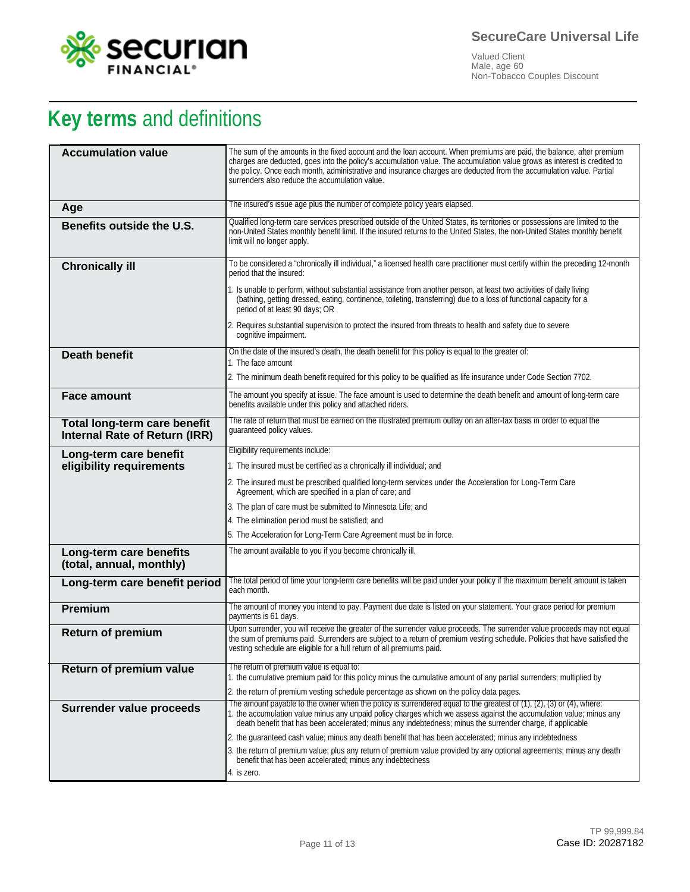![](_page_10_Picture_0.jpeg)

# **Key terms** and definitions

| <b>Accumulation value</b>                                     | The sum of the amounts in the fixed account and the loan account. When premiums are paid, the balance, after premium<br>charges are deducted, goes into the policy's accumulation value. The accumulation value grows as interest is credited to<br>the policy. Once each month, administrative and insurance charges are deducted from the accumulation value. Partial<br>surrenders also reduce the accumulation value. |
|---------------------------------------------------------------|---------------------------------------------------------------------------------------------------------------------------------------------------------------------------------------------------------------------------------------------------------------------------------------------------------------------------------------------------------------------------------------------------------------------------|
| Age                                                           | The insured's issue age plus the number of complete policy years elapsed.                                                                                                                                                                                                                                                                                                                                                 |
| Benefits outside the U.S.                                     | Qualified long-term care services prescribed outside of the United States, its territories or possessions are limited to the<br>non-United States monthly benefit limit. If the insured returns to the United States, the non-United States monthly benefit<br>limit will no longer apply.                                                                                                                                |
| <b>Chronically ill</b>                                        | To be considered a "chronically ill individual," a licensed health care practitioner must certify within the preceding 12-month<br>period that the insured:                                                                                                                                                                                                                                                               |
|                                                               | 1. Is unable to perform, without substantial assistance from another person, at least two activities of daily living<br>(bathing, getting dressed, eating, continence, toileting, transferring) due to a loss of functional capacity for a<br>period of at least 90 days; OR                                                                                                                                              |
|                                                               | 2. Requires substantial supervision to protect the insured from threats to health and safety due to severe<br>cognitive impairment.                                                                                                                                                                                                                                                                                       |
| <b>Death benefit</b>                                          | On the date of the insured's death, the death benefit for this policy is equal to the greater of:<br>1. The face amount                                                                                                                                                                                                                                                                                                   |
|                                                               | 2. The minimum death benefit required for this policy to be qualified as life insurance under Code Section 7702.                                                                                                                                                                                                                                                                                                          |
| <b>Face amount</b>                                            | The amount you specify at issue. The face amount is used to determine the death benefit and amount of long-term care                                                                                                                                                                                                                                                                                                      |
|                                                               | benefits available under this policy and attached riders.                                                                                                                                                                                                                                                                                                                                                                 |
| Total long-term care benefit<br>Internal Rate of Return (IRR) | The rate of return that must be earned on the illustrated premium outlay on an after-tax basis in order to equal the<br>quaranteed policy values.                                                                                                                                                                                                                                                                         |
| Long-term care benefit                                        | Eligibility requirements include:                                                                                                                                                                                                                                                                                                                                                                                         |
| eligibility requirements                                      | 1. The insured must be certified as a chronically ill individual; and                                                                                                                                                                                                                                                                                                                                                     |
|                                                               | 2. The insured must be prescribed qualified long-term services under the Acceleration for Long-Term Care<br>Agreement, which are specified in a plan of care; and                                                                                                                                                                                                                                                         |
|                                                               | 3. The plan of care must be submitted to Minnesota Life; and                                                                                                                                                                                                                                                                                                                                                              |
|                                                               | 4. The elimination period must be satisfied; and                                                                                                                                                                                                                                                                                                                                                                          |
|                                                               | 5. The Acceleration for Long-Term Care Agreement must be in force.                                                                                                                                                                                                                                                                                                                                                        |
| Long-term care benefits<br>(total, annual, monthly)           | The amount available to you if you become chronically ill.                                                                                                                                                                                                                                                                                                                                                                |
| Long-term care benefit period                                 | The total period of time your long-term care benefits will be paid under your policy if the maximum benefit amount is taken<br>each month.                                                                                                                                                                                                                                                                                |
| Premium                                                       | The amount of money you intend to pay. Payment due date is listed on your statement. Your grace period for premium<br>payments is 61 days.                                                                                                                                                                                                                                                                                |
| <b>Return of premium</b>                                      | Upon surrender, you will receive the greater of the surrender value proceeds. The surrender value proceeds may not equal<br>the sum of premiums paid. Surrenders are subject to a return of premium vesting schedule. Policies that have satisfied the<br>vesting schedule are eligible for a full return of all premiums paid.                                                                                           |
| Return of premium value                                       | The return of premium value is equal to:                                                                                                                                                                                                                                                                                                                                                                                  |
|                                                               | 1. the cumulative premium paid for this policy minus the cumulative amount of any partial surrenders; multiplied by<br>2. the return of premium vesting schedule percentage as shown on the policy data pages.                                                                                                                                                                                                            |
| Surrender value proceeds                                      | The amount payable to the owner when the policy is surrendered equal to the greatest of $(1)$ , $(2)$ , $(3)$ or $(4)$ , where:                                                                                                                                                                                                                                                                                           |
|                                                               | 1. the accumulation value minus any unpaid policy charges which we assess against the accumulation value; minus any<br>death benefit that has been accelerated; minus any indebtedness; minus the surrender charge, if applicable                                                                                                                                                                                         |
|                                                               | 2. the guaranteed cash value; minus any death benefit that has been accelerated; minus any indebtedness                                                                                                                                                                                                                                                                                                                   |
|                                                               | 3. the return of premium value; plus any return of premium value provided by any optional agreements; minus any death<br>benefit that has been accelerated; minus any indebtedness                                                                                                                                                                                                                                        |
|                                                               | 4. is zero.                                                                                                                                                                                                                                                                                                                                                                                                               |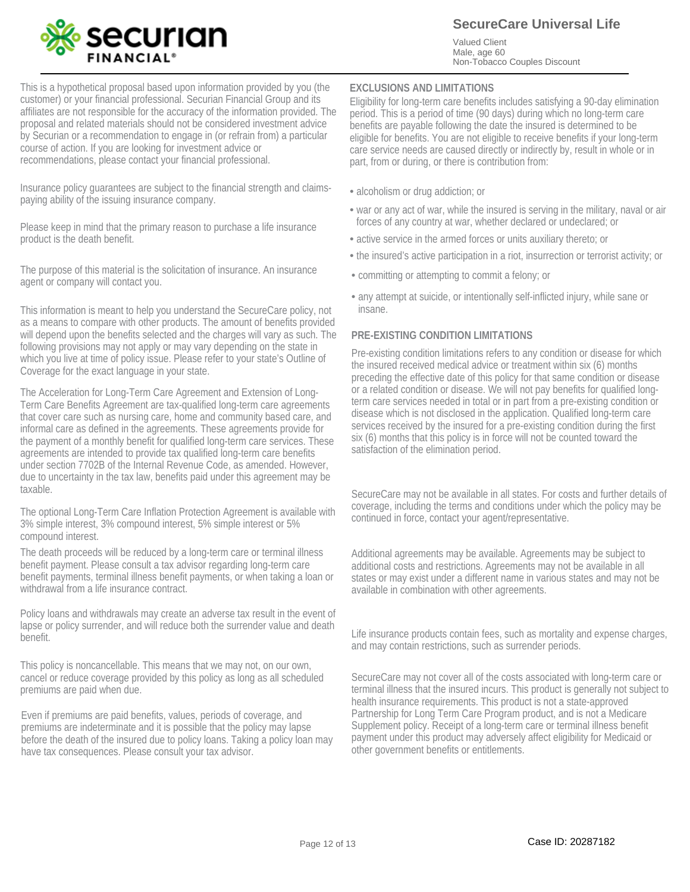![](_page_11_Picture_0.jpeg)

**SecureCare Universal Life**

Valued Client Male, age 60 Non-Tobacco Couples Discount

This is a hypothetical proposal based upon information provided by you (the customer) or your financial professional. Securian Financial Group and its affiliates are not responsible for the accuracy of the information provided. The proposal and related materials should not be considered investment advice by Securian or a recommendation to engage in (or refrain from) a particular course of action. If you are looking for investment advice or recommendations, please contact your financial professional.

Insurance policy guarantees are subject to the financial strength and claimspaying ability of the issuing insurance company.

Please keep in mind that the primary reason to purchase a life insurance product is the death benefit.

The purpose of this material is the solicitation of insurance. An insurance agent or company will contact you.

This information is meant to help you understand the SecureCare policy, not as a means to compare with other products. The amount of benefits provided will depend upon the benefits selected and the charges will vary as such. The following provisions may not apply or may vary depending on the state in which you live at time of policy issue. Please refer to your state's Outline of Coverage for the exact language in your state.

The Acceleration for Long-Term Care Agreement and Extension of Long-Term Care Benefits Agreement are tax-qualified long-term care agreements that cover care such as nursing care, home and community based care, and informal care as defined in the agreements. These agreements provide for the payment of a monthly benefit for qualified long-term care services. These agreements are intended to provide tax qualified long-term care benefits under section 7702B of the Internal Revenue Code, as amended. However, due to uncertainty in the tax law, benefits paid under this agreement may be taxable.

The optional Long-Term Care Inflation Protection Agreement is available with 3% simple interest, 3% compound interest, 5% simple interest or 5% compound interest.

The death proceeds will be reduced by a long-term care or terminal illness benefit payment. Please consult a tax advisor regarding long-term care benefit payments, terminal illness benefit payments, or when taking a loan or withdrawal from a life insurance contract.

Policy loans and withdrawals may create an adverse tax result in the event of lapse or policy surrender, and will reduce both the surrender value and death benefit.

This policy is noncancellable. This means that we may not, on our own, cancel or reduce coverage provided by this policy as long as all scheduled premiums are paid when due.

Even if premiums are paid benefits, values, periods of coverage, and premiums are indeterminate and it is possible that the policy may lapse before the death of the insured due to policy loans. Taking a policy loan may have tax consequences. Please consult your tax advisor.

#### **EXCLUSIONS AND LIMITATIONS**

Eligibility for long-term care benefits includes satisfying a 90-day elimination period. This is a period of time (90 days) during which no long-term care benefits are payable following the date the insured is determined to be eligible for benefits. You are not eligible to receive benefits if your long-term care service needs are caused directly or indirectly by, result in whole or in part, from or during, or there is contribution from:

- alcoholism or drug addiction; or
- war or any act of war, while the insured is serving in the military, naval or air forces of any country at war, whether declared or undeclared; or
- active service in the armed forces or units auxiliary thereto; or
- the insured's active participation in a riot, insurrection or terrorist activity; or
- committing or attempting to commit a felony; or •
- any attempt at suicide, or intentionally self-inflicted injury, while sane or insane.

#### **PRE-EXISTING CONDITION LIMITATIONS**

Pre-existing condition limitations refers to any condition or disease for which the insured received medical advice or treatment within six (6) months preceding the effective date of this policy for that same condition or disease or a related condition or disease. We will not pay benefits for qualified longterm care services needed in total or in part from a pre-existing condition or disease which is not disclosed in the application. Qualified long-term care services received by the insured for a pre-existing condition during the first six (6) months that this policy is in force will not be counted toward the satisfaction of the elimination period.

SecureCare may not be available in all states. For costs and further details of coverage, including the terms and conditions under which the policy may be continued in force, contact your agent/representative.

Additional agreements may be available. Agreements may be subject to additional costs and restrictions. Agreements may not be available in all states or may exist under a different name in various states and may not be available in combination with other agreements.

Life insurance products contain fees, such as mortality and expense charges, and may contain restrictions, such as surrender periods.

SecureCare may not cover all of the costs associated with long-term care or terminal illness that the insured incurs. This product is generally not subject to health insurance requirements. This product is not a state-approved Partnership for Long Term Care Program product, and is not a Medicare Supplement policy. Receipt of a long-term care or terminal illness benefit payment under this product may adversely affect eligibility for Medicaid or other government benefits or entitlements.